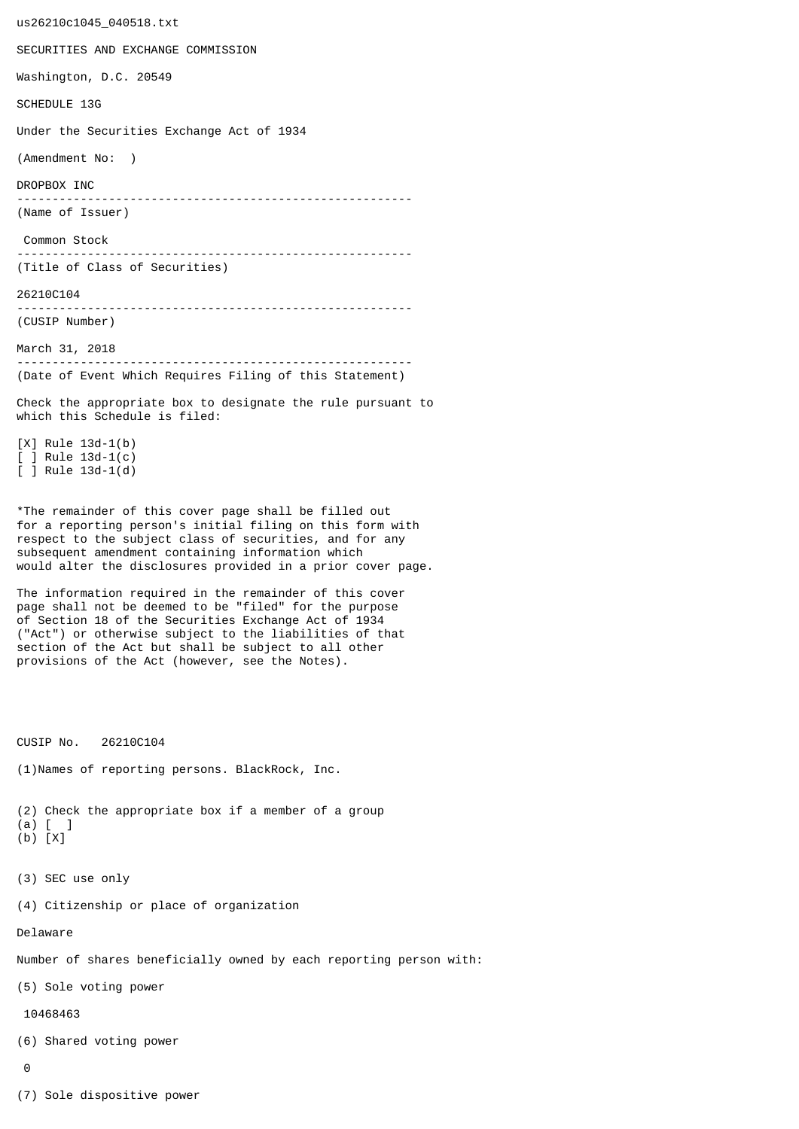us26210c1045\_040518.txt SECURITIES AND EXCHANGE COMMISSION Washington, D.C. 20549 SCHEDULE 13G Under the Securities Exchange Act of 1934 (Amendment No: ) DROPBOX INC -------------------------------------------------------- (Name of Issuer) Common Stock -------------------------------------------------------- (Title of Class of Securities) 26210C104 -------------------------------------------------------- (CUSIP Number) March 31, 2018 -------------------------------------------------------- (Date of Event Which Requires Filing of this Statement) Check the appropriate box to designate the rule pursuant to which this Schedule is filed: [X] Rule 13d-1(b) [ ] Rule 13d-1(c) [ ] Rule 13d-1(d) \*The remainder of this cover page shall be filled out for a reporting person's initial filing on this form with respect to the subject class of securities, and for any subsequent amendment containing information which would alter the disclosures provided in a prior cover page. The information required in the remainder of this cover page shall not be deemed to be "filed" for the purpose of Section 18 of the Securities Exchange Act of 1934 ("Act") or otherwise subject to the liabilities of that section of the Act but shall be subject to all other provisions of the Act (however, see the Notes). CUSIP No. 26210C104 (1)Names of reporting persons. BlackRock, Inc. (2) Check the appropriate box if a member of a group (a) [ ] (b) [X] (3) SEC use only (4) Citizenship or place of organization Delaware Number of shares beneficially owned by each reporting person with: (5) Sole voting power 10468463 (6) Shared voting power

 $\Omega$ 

(7) Sole dispositive power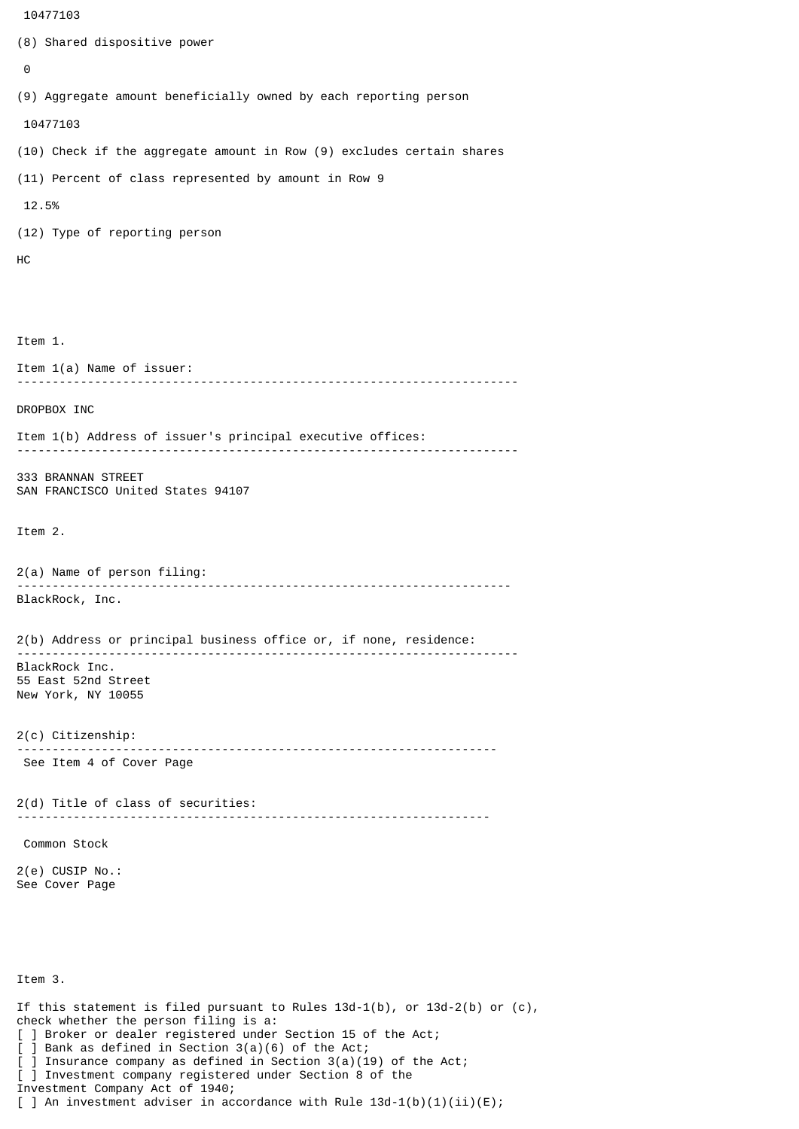```
 10477103
(8) Shared dispositive power
 \Omega(9) Aggregate amount beneficially owned by each reporting person
  10477103
(10) Check if the aggregate amount in Row (9) excludes certain shares
(11) Percent of class represented by amount in Row 9
  12.5%
(12) Type of reporting person
HC
Item 1.
Item 1(a) Name of issuer:
                               -----------------------------------------------------------------------
DROPBOX INC
Item 1(b) Address of issuer's principal executive offices:
-----------------------------------------------------------------------
333 BRANNAN STREET
SAN FRANCISCO United States 94107
Item 2.
2(a) Name of person filing:
               ----------------------------------------------------------------------
BlackRock, Inc.
2(b) Address or principal business office or, if none, residence:
-----------------------------------------------------------------------
BlackRock Inc.
55 East 52nd Street
New York, NY 10055
2(c) Citizenship:
                            --------------------------------------------------------------------
 See Item 4 of Cover Page
2(d) Title of class of securities:
                                      -------------------------------------------------------------------
  Common Stock
2(e) CUSIP No.:
See Cover Page
Item 3.
If this statement is filed pursuant to Rules 13d-1(b), or 13d-2(b) or (c),
check whether the person filing is a:
[ ] Broker or dealer registered under Section 15 of the Act;
```
[ ] Bank as defined in Section 3(a)(6) of the Act;

[ ] Insurance company as defined in Section 3(a)(19) of the Act; [ ] Investment company registered under Section 8 of the Investment Company Act of 1940; [ ] An investment adviser in accordance with Rule  $13d-1(b)(1)(ii)(E)$ ;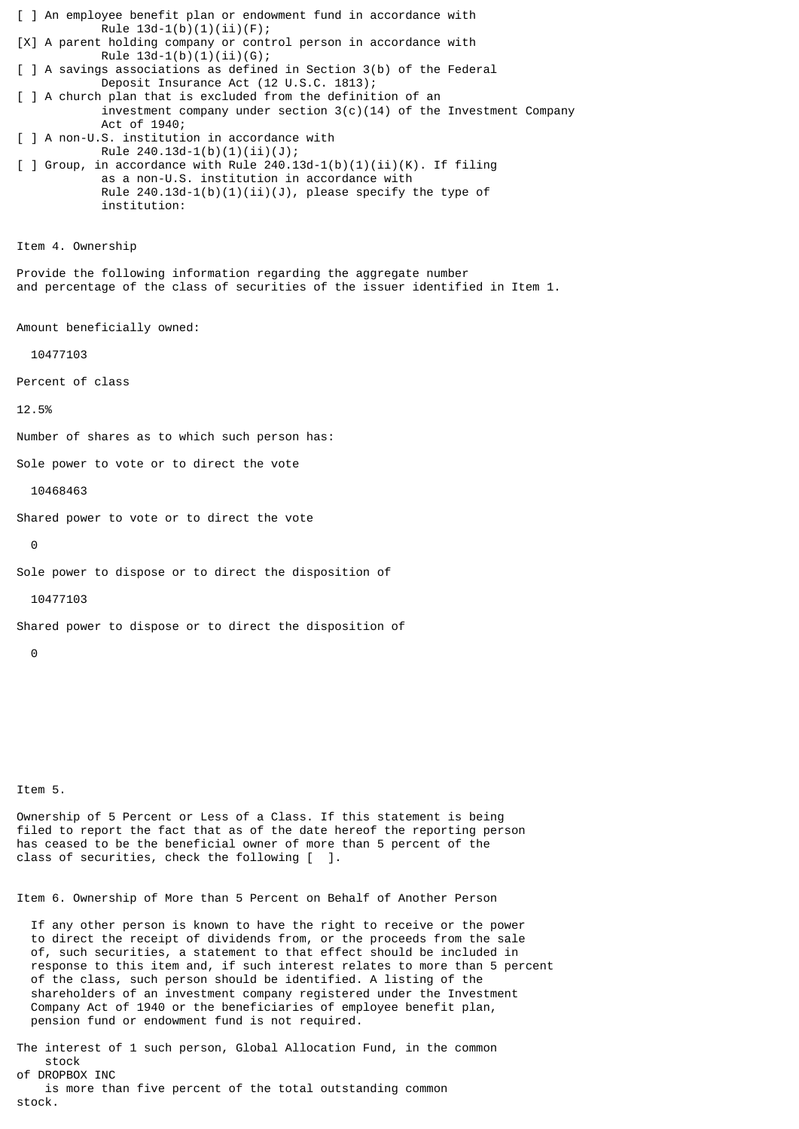[ ] An employee benefit plan or endowment fund in accordance with Rule  $13d-1(b)(1)(ii)(F);$ [X] A parent holding company or control person in accordance with Rule  $13d-1(b)(1)(ii)(G);$ [ ] A savings associations as defined in Section 3(b) of the Federal Deposit Insurance Act (12 U.S.C. 1813); [ ] A church plan that is excluded from the definition of an investment company under section  $3(c)(14)$  of the Investment Company Act of 1940; [ ] A non-U.S. institution in accordance with Rule  $240.13d-1(b)(1)(ii)(J);$  $[$  ] Group, in accordance with Rule 240.13d-1(b)(1)(ii)(K). If filing as a non-U.S. institution in accordance with Rule  $240.13d-1(b)(1)(ii)(J)$ , please specify the type of institution: Item 4. Ownership Provide the following information regarding the aggregate number and percentage of the class of securities of the issuer identified in Item 1. Amount beneficially owned: 10477103 Percent of class 12.5%

Number of shares as to which such person has:

Sole power to vote or to direct the vote

10468463

Shared power to vote or to direct the vote

 $\Theta$ 

Sole power to dispose or to direct the disposition of

10477103

Shared power to dispose or to direct the disposition of

 $\Omega$ 

Item 5.

Ownership of 5 Percent or Less of a Class. If this statement is being filed to report the fact that as of the date hereof the reporting person has ceased to be the beneficial owner of more than 5 percent of the class of securities, check the following [ ].

Item 6. Ownership of More than 5 Percent on Behalf of Another Person

 If any other person is known to have the right to receive or the power to direct the receipt of dividends from, or the proceeds from the sale of, such securities, a statement to that effect should be included in response to this item and, if such interest relates to more than 5 percent of the class, such person should be identified. A listing of the shareholders of an investment company registered under the Investment Company Act of 1940 or the beneficiaries of employee benefit plan, pension fund or endowment fund is not required.

The interest of 1 such person, Global Allocation Fund, in the common stock of DROPBOX INC

 is more than five percent of the total outstanding common stock.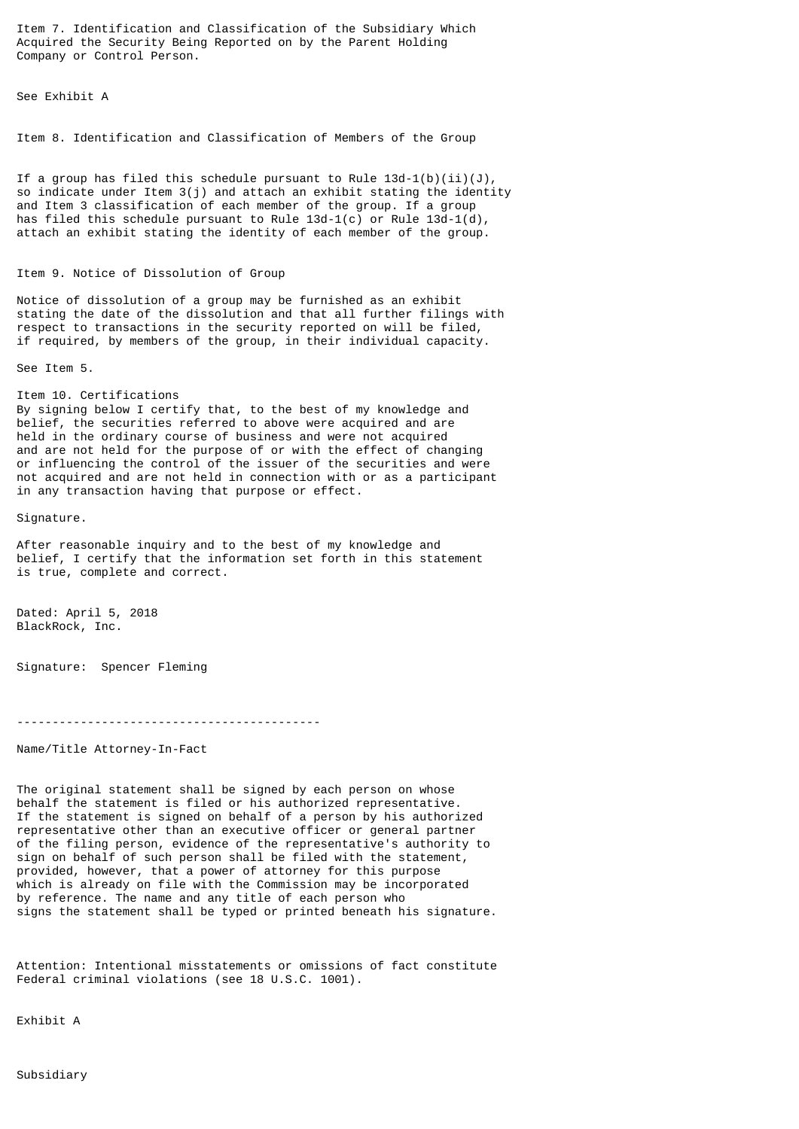Item 7. Identification and Classification of the Subsidiary Which Acquired the Security Being Reported on by the Parent Holding Company or Control Person.

See Exhibit A

Item 8. Identification and Classification of Members of the Group

If a group has filed this schedule pursuant to Rule  $13d-1(b)(ii)(J)$ , so indicate under Item 3(j) and attach an exhibit stating the identity and Item 3 classification of each member of the group. If a group has filed this schedule pursuant to Rule 13d-1(c) or Rule 13d-1(d), attach an exhibit stating the identity of each member of the group.

Item 9. Notice of Dissolution of Group

Notice of dissolution of a group may be furnished as an exhibit stating the date of the dissolution and that all further filings with respect to transactions in the security reported on will be filed, if required, by members of the group, in their individual capacity.

See Item 5.

Item 10. Certifications By signing below I certify that, to the best of my knowledge and belief, the securities referred to above were acquired and are held in the ordinary course of business and were not acquired and are not held for the purpose of or with the effect of changing or influencing the control of the issuer of the securities and were not acquired and are not held in connection with or as a participant in any transaction having that purpose or effect.

Signature.

After reasonable inquiry and to the best of my knowledge and belief, I certify that the information set forth in this statement is true, complete and correct.

Dated: April 5, 2018 BlackRock, Inc.

Signature: Spencer Fleming

-------------------------------------------

Name/Title Attorney-In-Fact

The original statement shall be signed by each person on whose behalf the statement is filed or his authorized representative. If the statement is signed on behalf of a person by his authorized representative other than an executive officer or general partner of the filing person, evidence of the representative's authority to sign on behalf of such person shall be filed with the statement, provided, however, that a power of attorney for this purpose which is already on file with the Commission may be incorporated by reference. The name and any title of each person who signs the statement shall be typed or printed beneath his signature.

Attention: Intentional misstatements or omissions of fact constitute Federal criminal violations (see 18 U.S.C. 1001).

Exhibit A